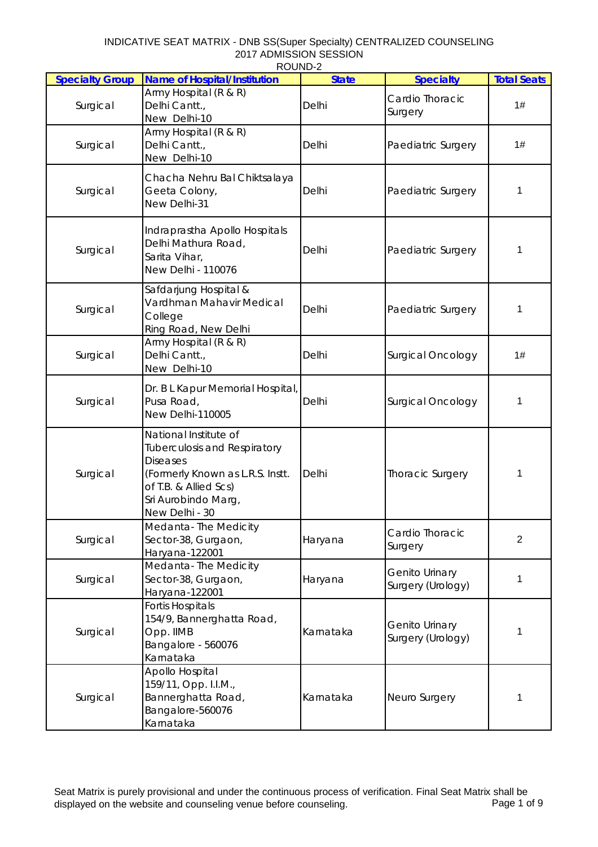## INDICATIVE SEAT MATRIX - DNB SS(Super Specialty) CENTRALIZED COUNSELING 2017 ADMISSION SESSION ROUND-2

| <b>Specialty Group</b> | <b>Name of Hospital/Institution</b>                                                                                                                                                   | <b>State</b> | <b>Specialty</b>                    | <b>Total Seats</b> |
|------------------------|---------------------------------------------------------------------------------------------------------------------------------------------------------------------------------------|--------------|-------------------------------------|--------------------|
| Surgical               | Army Hospital (R & R)<br>Delhi Cantt.,<br>New Delhi-10                                                                                                                                | Delhi        | Cardio Thoracic<br>Surgery          | 1#                 |
| Surgical               | Army Hospital (R & R)<br>Delhi Cantt.,<br>New Delhi-10                                                                                                                                | Delhi        | Paediatric Surgery                  | 1#                 |
| Surgical               | Chacha Nehru Bal Chiktsalaya<br>Geeta Colony,<br>New Delhi-31                                                                                                                         | Delhi        | Paediatric Surgery                  | 1                  |
| Surgical               | Indraprastha Apollo Hospitals<br>Delhi Mathura Road,<br>Sarita Vihar,<br>New Delhi - 110076                                                                                           | Delhi        | Paediatric Surgery                  | 1                  |
| Surgical               | Safdarjung Hospital &<br>Vardhman Mahavir Medical<br>College<br>Ring Road, New Delhi                                                                                                  | Delhi        | Paediatric Surgery                  | 1                  |
| Surgical               | Army Hospital (R & R)<br>Delhi Cantt.,<br>New Delhi-10                                                                                                                                | Delhi        | <b>Surgical Oncology</b>            | 1#                 |
| Surgical               | Dr. B L Kapur Memorial Hospital,<br>Pusa Road,<br>New Delhi-110005                                                                                                                    | Delhi        | Surgical Oncology                   | 1                  |
| Surgical               | National Institute of<br><b>Tuberculosis and Respiratory</b><br><b>Diseases</b><br>(Formerly Known as L.R.S. Instt.<br>of T.B. & Allied Scs)<br>Sri Aurobindo Marg,<br>New Delhi - 30 | Delhi        | <b>Thoracic Surgery</b>             | 1                  |
| Surgical               | Medanta-The Medicity<br>Sector-38, Gurgaon,<br>Haryana-122001                                                                                                                         | Haryana      | Cardio Thoracic<br>Surgery          | $\overline{2}$     |
| Surgical               | Medanta-The Medicity<br>Sector-38, Gurgaon,<br>Haryana-122001                                                                                                                         | Haryana      | Genito Urinary<br>Surgery (Urology) | 1                  |
| Surgical               | <b>Fortis Hospitals</b><br>154/9, Bannerghatta Road,<br>Opp. IIMB<br>Bangalore - 560076<br>Karnataka                                                                                  | Karnataka    | Genito Urinary<br>Surgery (Urology) | 1                  |
| Surgical               | Apollo Hospital<br>159/11, Opp. I.I.M.,<br>Bannerghatta Road,<br>Bangalore-560076<br>Karnataka                                                                                        | Karnataka    | Neuro Surgery                       | 1                  |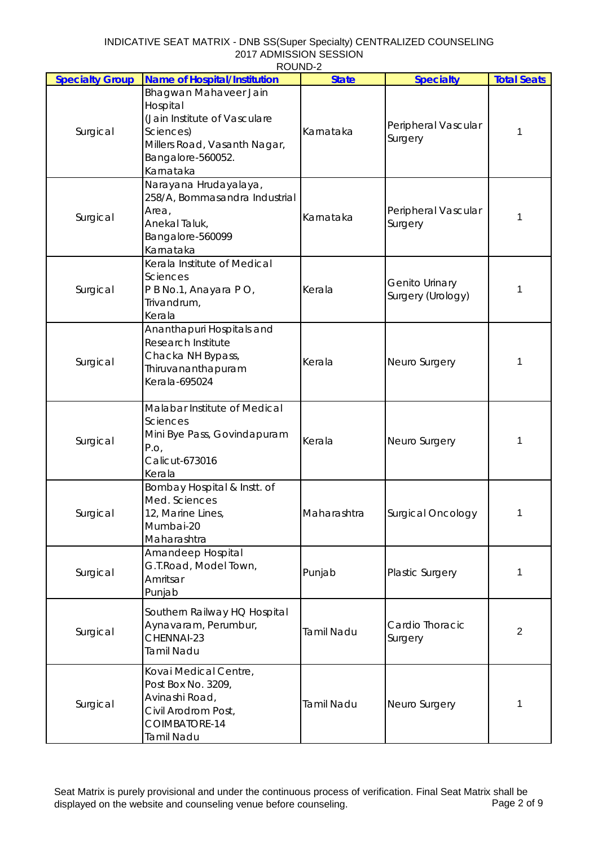|                        | ROUND-2                                                                                                                                          |                   |                                     |                    |
|------------------------|--------------------------------------------------------------------------------------------------------------------------------------------------|-------------------|-------------------------------------|--------------------|
| <b>Specialty Group</b> | <b>Name of Hospital/Institution</b>                                                                                                              | <b>State</b>      | <b>Specialty</b>                    | <b>Total Seats</b> |
| Surgical               | Bhagwan Mahaveer Jain<br>Hospital<br>(Jain Institute of Vasculare<br>Sciences)<br>Millers Road, Vasanth Nagar,<br>Bangalore-560052.<br>Karnataka | Karnataka         | Peripheral Vascular<br>Surgery      | 1                  |
| Surgical               | Narayana Hrudayalaya,<br>258/A, Bommasandra Industrial<br>Area,<br>Anekal Taluk,<br>Bangalore-560099<br>Karnataka                                | Karnataka         | Peripheral Vascular<br>Surgery      | 1                  |
| Surgical               | Kerala Institute of Medical<br><b>Sciences</b><br>P B No.1, Anayara P O,<br>Trivandrum,<br>Kerala                                                | Kerala            | Genito Urinary<br>Surgery (Urology) | 1                  |
| Surgical               | Ananthapuri Hospitals and<br><b>Research Institute</b><br>Chacka NH Bypass,<br>Thiruvananthapuram<br>Kerala-695024                               | Kerala            | Neuro Surgery                       | 1                  |
| Surgical               | Malabar Institute of Medical<br><b>Sciences</b><br>Mini Bye Pass, Govindapuram<br>P.O,<br>Calicut-673016<br>Kerala                               | Kerala            | Neuro Surgery                       | 1                  |
| Surgical               | Bombay Hospital & Instt. of<br>Med. Sciences<br>12, Marine Lines,<br>Mumbai-20<br>Maharashtra                                                    | Maharashtra       | Surgical Oncology                   | 1                  |
| Surgical               | Amandeep Hospital<br>G.T.Road, Model Town,<br>Amritsar<br>Punjab                                                                                 | Punjab            | Plastic Surgery                     | 1                  |
| Surgical               | Southern Railway HQ Hospital<br>Aynavaram, Perumbur,<br>CHENNAI-23<br><b>Tamil Nadu</b>                                                          | <b>Tamil Nadu</b> | Cardio Thoracic<br>Surgery          | $\overline{2}$     |
| Surgical               | Kovai Medical Centre,<br>Post Box No. 3209,<br>Avinashi Road,<br>Civil Arodrom Post,<br>COIMBATORE-14<br>Tamil Nadu                              | <b>Tamil Nadu</b> | Neuro Surgery                       | 1                  |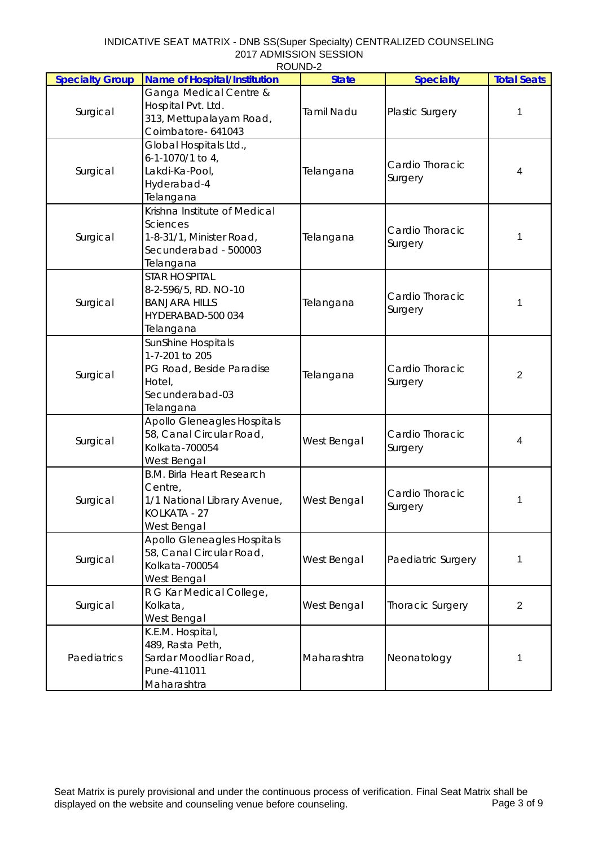## INDICATIVE SEAT MATRIX - DNB SS(Super Specialty) CENTRALIZED COUNSELING 2017 ADMISSION SESSION ROUND-2

|                        | <b>ב־שויטטו</b>                     |                   |                            |                    |
|------------------------|-------------------------------------|-------------------|----------------------------|--------------------|
| <b>Specialty Group</b> | <b>Name of Hospital/Institution</b> | <b>State</b>      | <b>Specialty</b>           | <b>Total Seats</b> |
| Surgical               | Ganga Medical Centre &              |                   |                            |                    |
|                        | Hospital Pvt. Ltd.                  | <b>Tamil Nadu</b> | Plastic Surgery            | 1                  |
|                        | 313, Mettupalayam Road,             |                   |                            |                    |
|                        | Coimbatore- 641043                  |                   |                            |                    |
|                        | Global Hospitals Ltd.,              |                   |                            |                    |
|                        | 6-1-1070/1 to 4,                    |                   | Cardio Thoracic            |                    |
| Surgical               | Lakdi-Ka-Pool,                      | Telangana         | Surgery                    | 4                  |
|                        | Hyderabad-4                         |                   |                            |                    |
|                        | Telangana                           |                   |                            |                    |
|                        | Krishna Institute of Medical        |                   |                            |                    |
|                        | <b>Sciences</b>                     |                   | Cardio Thoracic            |                    |
| Surgical               | 1-8-31/1, Minister Road,            | Telangana         | Surgery                    | 1                  |
|                        | Secunderabad - 500003               |                   |                            |                    |
|                        | Telangana                           |                   |                            |                    |
|                        | <b>STAR HOSPITAL</b>                |                   |                            |                    |
|                        | 8-2-596/5, RD. NO-10                |                   | Cardio Thoracic            |                    |
| Surgical               | <b>BANJARA HILLS</b>                | Telangana         |                            | 1                  |
|                        | HYDERABAD-500 034                   |                   | Surgery                    |                    |
|                        | Telangana                           |                   |                            |                    |
|                        | SunShine Hospitals                  |                   |                            |                    |
|                        | 1-7-201 to 205                      |                   |                            |                    |
|                        | PG Road, Beside Paradise            |                   | Cardio Thoracic            |                    |
| Surgical               | Hotel,                              | Telangana         | Surgery                    | $\overline{2}$     |
|                        | Secunderabad-03                     |                   |                            |                    |
|                        | Telangana                           |                   |                            |                    |
|                        | Apollo Gleneagles Hospitals         |                   |                            |                    |
|                        | 58, Canal Circular Road,            |                   | Cardio Thoracic<br>Surgery |                    |
| Surgical               | Kolkata-700054                      | West Bengal       |                            | 4                  |
|                        | West Bengal                         |                   |                            |                    |
|                        | <b>B.M. Birla Heart Research</b>    |                   |                            |                    |
|                        | Centre,                             |                   |                            |                    |
| Surgical               | 1/1 National Library Avenue,        | West Bengal       | Cardio Thoracic            | 1                  |
|                        | KOLKATA - 27                        |                   | Surgery                    |                    |
|                        | West Bengal                         |                   |                            |                    |
|                        | <b>Apollo Gleneagles Hospitals</b>  |                   |                            |                    |
|                        | 58, Canal Circular Road,            |                   |                            |                    |
| Surgical               | Kolkata-700054                      | West Bengal       | Paediatric Surgery         | 1                  |
|                        | West Bengal                         |                   |                            |                    |
| Surgical               | R G Kar Medical College,            |                   |                            |                    |
|                        | Kolkata,                            | West Bengal       | <b>Thoracic Surgery</b>    | $\overline{2}$     |
|                        | West Bengal                         |                   |                            |                    |
|                        | K.E.M. Hospital,                    |                   |                            |                    |
|                        | 489, Rasta Peth,                    |                   |                            |                    |
| Paediatrics            | Sardar Moodliar Road,               | Maharashtra       | Neonatology                | 1                  |
|                        | Pune-411011                         |                   |                            |                    |
|                        | Maharashtra                         |                   |                            |                    |
|                        |                                     |                   |                            |                    |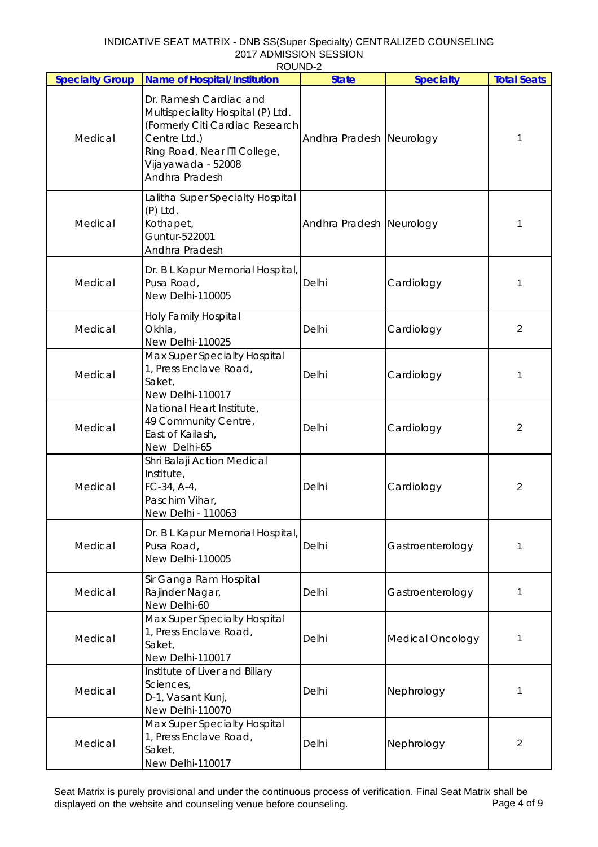## INDICATIVE SEAT MATRIX - DNB SS(Super Specialty) CENTRALIZED COUNSELING 2017 ADMISSION SESSION ROUND-2

| <b>Specialty Group</b> | <b>Name of Hospital/Institution</b>                                                                                                                                                    | <b>State</b>             | <b>Specialty</b>        | <b>Total Seats</b>      |
|------------------------|----------------------------------------------------------------------------------------------------------------------------------------------------------------------------------------|--------------------------|-------------------------|-------------------------|
| Medical                | Dr. Ramesh Cardiac and<br>Multispeciality Hospital (P) Ltd.<br>(Formerly Citi Cardiac Research<br>Centre Ltd.)<br>Ring Road, Near ITI College,<br>Vijayawada - 52008<br>Andhra Pradesh | Andhra Pradesh Neurology |                         | 1                       |
| Medical                | Lalitha Super Specialty Hospital<br>$(P)$ Ltd.<br>Kothapet,<br>Guntur-522001<br>Andhra Pradesh                                                                                         | Andhra Pradesh Neurology |                         | 1                       |
| Medical                | Dr. B L Kapur Memorial Hospital,<br>Pusa Road,<br>New Delhi-110005                                                                                                                     | Delhi                    | Cardiology              | 1                       |
| Medical                | Holy Family Hospital<br>Okhla,<br>New Delhi-110025                                                                                                                                     | Delhi                    | Cardiology              | $\overline{2}$          |
| Medical                | Max Super Specialty Hospital<br>1, Press Enclave Road,<br>Saket,<br>New Delhi-110017                                                                                                   | Delhi                    | Cardiology              | 1                       |
| Medical                | National Heart Institute,<br>49 Community Centre,<br>East of Kailash,<br>New Delhi-65                                                                                                  | Delhi                    | Cardiology              | $\overline{c}$          |
| Medical                | Shri Balaji Action Medical<br>Institute,<br>FC-34, A-4,<br>Paschim Vihar,<br>New Delhi - 110063                                                                                        | Delhi                    | Cardiology              | $\overline{2}$          |
| Medical                | Dr. B L Kapur Memorial Hospital,<br>Pusa Road,<br>New Delhi-110005                                                                                                                     | Delhi                    | Gastroenterology        | 1                       |
| Medical                | Sir Ganga Ram Hospital<br>Rajinder Nagar,<br>New Delhi-60                                                                                                                              | Delhi                    | Gastroenterology        | 1                       |
| Medical                | Max Super Specialty Hospital<br>1, Press Enclave Road,<br>Saket,<br>New Delhi-110017                                                                                                   | Delhi                    | <b>Medical Oncology</b> | 1                       |
| Medical                | Institute of Liver and Biliary<br>Sciences,<br>D-1, Vasant Kunj,<br>New Delhi-110070                                                                                                   | Delhi                    | Nephrology              | 1                       |
| Medical                | Max Super Specialty Hospital<br>1, Press Enclave Road,<br>Saket,<br>New Delhi-110017                                                                                                   | Delhi                    | Nephrology              | $\overline{\mathbf{c}}$ |

Seat Matrix is purely provisional and under the continuous process of verification. Final Seat Matrix shall be<br>displayed on the website and counseling venue before counseling. displayed on the website and counseling venue before counseling.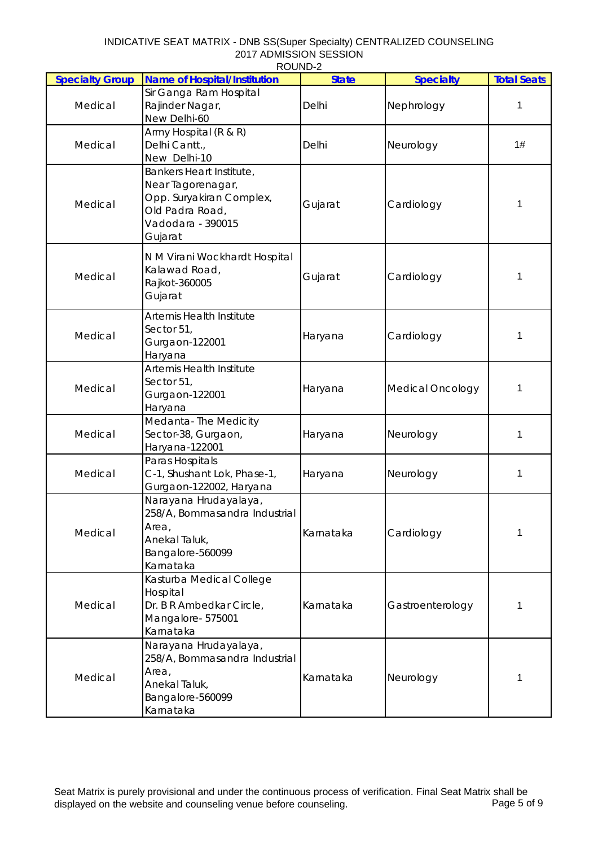| INDICATIVE SEAT MATRIX - DNB SS(Super Specialty) CENTRALIZED COUNSELING |
|-------------------------------------------------------------------------|
| 2017 ADMISSION SESSION                                                  |
| ROUND-2                                                                 |

| <b>Specialty Group</b> | <b>Name of Hospital/Institution</b>                                                                                          | <b>State</b> | <b>Specialty</b>        | <b>Total Seats</b> |
|------------------------|------------------------------------------------------------------------------------------------------------------------------|--------------|-------------------------|--------------------|
| Medical                | Sir Ganga Ram Hospital<br>Rajinder Nagar,<br>New Delhi-60                                                                    | Delhi        | Nephrology              | 1                  |
| Medical                | Army Hospital (R & R)<br>Delhi Cantt.,<br>New Delhi-10                                                                       | Delhi        | Neurology               | 1#                 |
| Medical                | Bankers Heart Institute,<br>Near Tagorenagar,<br>Opp. Suryakiran Complex,<br>Old Padra Road,<br>Vadodara - 390015<br>Gujarat | Gujarat      | Cardiology              | 1                  |
| Medical                | N M Virani Wockhardt Hospital<br>Kalawad Road,<br>Rajkot-360005<br>Gujarat                                                   | Gujarat      | Cardiology              | 1                  |
| Medical                | <b>Artemis Health Institute</b><br>Sector 51,<br>Gurgaon-122001<br>Haryana                                                   | Haryana      | Cardiology              | 1                  |
| Medical                | <b>Artemis Health Institute</b><br>Sector 51,<br>Gurgaon-122001<br>Haryana                                                   | Haryana      | <b>Medical Oncology</b> | 1                  |
| Medical                | Medanta-The Medicity<br>Sector-38, Gurgaon,<br>Haryana-122001                                                                | Haryana      | Neurology               | 1                  |
| Medical                | Paras Hospitals<br>C-1, Shushant Lok, Phase-1,<br>Gurgaon-122002, Haryana                                                    | Haryana      | Neurology               | 1                  |
| Medical                | Narayana Hrudayalaya,<br>258/A, Bommasandra Industrial<br>Area,<br>Anekal Taluk,<br>Bangalore-560099<br>Karnataka            | Karnataka    | Cardiology              | 1                  |
| Medical                | Kasturba Medical College<br>Hospital<br>Dr. B R Ambedkar Circle,<br>Mangalore- 575001<br>Karnataka                           | Karnataka    | Gastroenterology        | 1                  |
| Medical                | Narayana Hrudayalaya,<br>258/A, Bommasandra Industrial<br>Area,<br>Anekal Taluk,<br>Bangalore-560099<br>Karnataka            | Karnataka    | Neurology               | 1                  |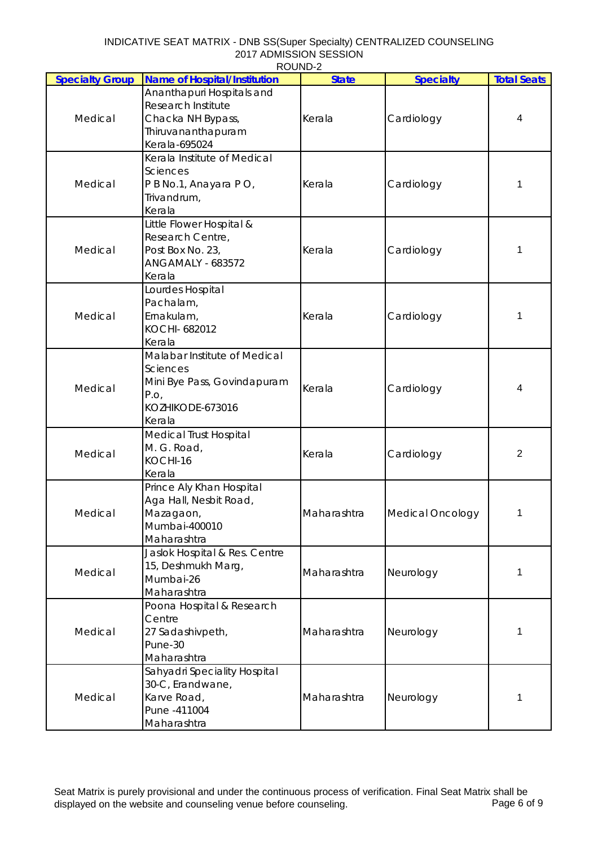| <b>Specialty Group</b> | <b>Name of Hospital/Institution</b> | ב־שוושטו<br><b>State</b> | <b>Specialty</b>        | <b>Total Seats</b> |
|------------------------|-------------------------------------|--------------------------|-------------------------|--------------------|
|                        |                                     |                          |                         |                    |
| Medical                | Ananthapuri Hospitals and           |                          |                         |                    |
|                        | Research Institute                  |                          |                         |                    |
|                        | Chacka NH Bypass,                   | Kerala                   | Cardiology              | 4                  |
|                        | Thiruvananthapuram                  |                          |                         |                    |
|                        | Kerala-695024                       |                          |                         |                    |
|                        | Kerala Institute of Medical         |                          |                         |                    |
|                        | Sciences                            |                          |                         |                    |
| Medical                | P B No.1, Anayara P O,              | Kerala                   | Cardiology              | 1                  |
|                        | Trivandrum,                         |                          |                         |                    |
|                        | Kerala                              |                          |                         |                    |
|                        | Little Flower Hospital &            |                          |                         |                    |
|                        | Research Centre,                    |                          |                         |                    |
| Medical                | Post Box No. 23,                    | Kerala                   | Cardiology              | 1                  |
|                        |                                     |                          |                         |                    |
|                        | ANGAMALY - 683572                   |                          |                         |                    |
|                        | Kerala                              |                          |                         |                    |
|                        | Lourdes Hospital                    |                          |                         |                    |
|                        | Pachalam,                           |                          |                         |                    |
| Medical                | Ernakulam,                          | Kerala                   | Cardiology              | 1                  |
|                        | KOCHI- 682012                       |                          |                         |                    |
|                        | Kerala                              |                          |                         |                    |
|                        | Malabar Institute of Medical        |                          |                         |                    |
|                        | Sciences                            |                          |                         |                    |
|                        | Mini Bye Pass, Govindapuram         |                          |                         |                    |
| Medical                | P.O,                                | Kerala                   | Cardiology              | 4                  |
|                        | KOZHIKODE-673016                    |                          |                         |                    |
|                        | Kerala                              |                          |                         |                    |
|                        | <b>Medical Trust Hospital</b>       |                          |                         |                    |
|                        | M. G. Road,                         |                          |                         |                    |
| Medical                | KOCHI-16                            | Kerala                   | Cardiology              | $\overline{2}$     |
|                        | Kerala                              |                          |                         |                    |
|                        |                                     |                          |                         |                    |
|                        | Prince Aly Khan Hospital            |                          |                         |                    |
|                        | Aga Hall, Nesbit Road,              |                          |                         |                    |
| Medical                | Mazagaon,                           | Maharashtra              | <b>Medical Oncology</b> | 1                  |
|                        | Mumbai-400010                       |                          |                         |                    |
|                        | Maharashtra                         |                          |                         |                    |
|                        | Jaslok Hospital & Res. Centre       |                          |                         |                    |
| Medical                | 15, Deshmukh Marg,                  | Maharashtra              | Neurology               | 1                  |
|                        | Mumbai-26                           |                          |                         |                    |
|                        | Maharashtra                         |                          |                         |                    |
|                        | Poona Hospital & Research           |                          |                         |                    |
|                        | Centre                              |                          |                         |                    |
| Medical                | 27 Sadashivpeth,                    | Maharashtra              | Neurology               | 1                  |
|                        | Pune-30                             |                          |                         |                    |
|                        | Maharashtra                         |                          |                         |                    |
|                        | Sahyadri Speciality Hospital        |                          |                         |                    |
|                        | 30-C, Erandwane,                    |                          |                         |                    |
|                        |                                     | Maharashtra              |                         | 1                  |
| Medical                | Karve Road,                         |                          | Neurology               |                    |
|                        | Pune -411004                        |                          |                         |                    |
|                        | Maharashtra                         |                          |                         |                    |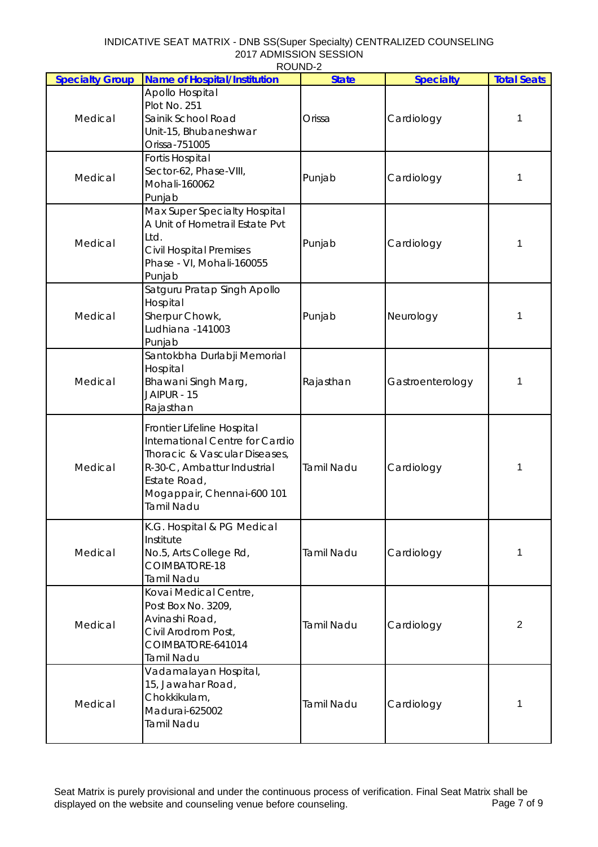| INDICATIVE SEAT MATRIX - DNB SS(Super Specialty) CENTRALIZED COUNSELING |
|-------------------------------------------------------------------------|
| 2017 ADMISSION SESSION                                                  |
| ROUND-2                                                                 |

| <b>Specialty Group</b> | <b>Name of Hospital/Institution</b>                                                                                                                                                       | <b>State</b>      | <b>Specialty</b> | <b>Total Seats</b> |
|------------------------|-------------------------------------------------------------------------------------------------------------------------------------------------------------------------------------------|-------------------|------------------|--------------------|
| Medical                | Apollo Hospital<br>Plot No. 251<br>Sainik School Road<br>Unit-15, Bhubaneshwar<br>Orissa-751005                                                                                           | Orissa            | Cardiology       | 1                  |
| Medical                | <b>Fortis Hospital</b><br>Sector-62, Phase-VIII,<br>Mohali-160062<br>Punjab                                                                                                               | Punjab            | Cardiology       | 1                  |
| Medical                | Max Super Specialty Hospital<br>A Unit of Hometrail Estate Pvt<br>Ltd.<br><b>Civil Hospital Premises</b><br>Phase - VI, Mohali-160055<br>Punjab                                           | Punjab            | Cardiology       | 1                  |
| Medical                | Satguru Pratap Singh Apollo<br>Hospital<br>Sherpur Chowk,<br>Ludhiana -141003<br>Punjab                                                                                                   | Punjab            | Neurology        | 1                  |
| Medical                | Santokbha Durlabji Memorial<br>Hospital<br>Bhawani Singh Marg,<br>JAIPUR - 15<br>Rajasthan                                                                                                | Rajasthan         | Gastroenterology | 1                  |
| Medical                | Frontier Lifeline Hospital<br>International Centre for Cardio<br>Thoracic & Vascular Diseases,<br>R-30-C, Ambattur Industrial<br>Estate Road,<br>Mogappair, Chennai-600 101<br>Tamil Nadu | <b>Tamil Nadu</b> | Cardiology       | 1                  |
| Medical                | K.G. Hospital & PG Medical<br>Institute<br>No.5, Arts College Rd,<br>COIMBATORE-18<br><b>Tamil Nadu</b>                                                                                   | <b>Tamil Nadu</b> | Cardiology       | 1                  |
| Medical                | Kovai Medical Centre,<br>Post Box No. 3209,<br>Avinashi Road,<br>Civil Arodrom Post,<br>COIMBATORE-641014<br><b>Tamil Nadu</b>                                                            | <b>Tamil Nadu</b> | Cardiology       | 2                  |
| Medical                | Vadamalayan Hospital,<br>15, Jawahar Road,<br>Chokkikulam,<br>Madurai-625002<br><b>Tamil Nadu</b>                                                                                         | <b>Tamil Nadu</b> | Cardiology       | 1                  |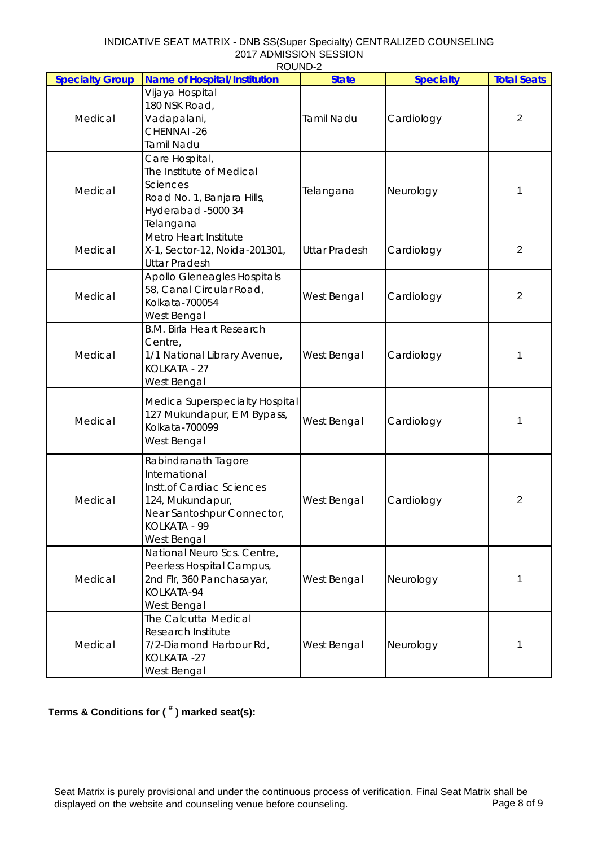| INDICATIVE SEAT MATRIX - DNB SS(Super Specialty) CENTRALIZED COUNSELING |
|-------------------------------------------------------------------------|
| 2017 ADMISSION SESSION                                                  |
| ROUND-2                                                                 |

| <b>Specialty Group</b> | <b>Name of Hospital/Institution</b>                                                                                                                       | <b>State</b>         | <b>Specialty</b> | <b>Total Seats</b> |
|------------------------|-----------------------------------------------------------------------------------------------------------------------------------------------------------|----------------------|------------------|--------------------|
| Medical                | Vijaya Hospital<br>180 NSK Road,<br>Vadapalani,<br>CHENNAI-26<br><b>Tamil Nadu</b>                                                                        | <b>Tamil Nadu</b>    | Cardiology       | 2                  |
| Medical                | Care Hospital,<br>The Institute of Medical<br><b>Sciences</b><br>Road No. 1, Banjara Hills,<br>Hyderabad -5000 34<br>Telangana                            | Telangana            | Neurology        | 1                  |
| Medical                | Metro Heart Institute<br>X-1, Sector-12, Noida-201301,<br><b>Uttar Pradesh</b>                                                                            | <b>Uttar Pradesh</b> | Cardiology       | $\overline{2}$     |
| Medical                | <b>Apollo Gleneagles Hospitals</b><br>58, Canal Circular Road,<br>Kolkata-700054<br>West Bengal                                                           | West Bengal          | Cardiology       | $\overline{2}$     |
| Medical                | <b>B.M. Birla Heart Research</b><br>Centre,<br>1/1 National Library Avenue,<br>KOLKATA - 27<br>West Bengal                                                | West Bengal          | Cardiology       | 1                  |
| Medical                | Medica Superspecialty Hospital<br>127 Mukundapur, E M Bypass,<br>Kolkata-700099<br>West Bengal                                                            | West Bengal          | Cardiology       | 1                  |
| Medical                | Rabindranath Tagore<br>International<br><b>Instt.of Cardiac Sciences</b><br>124, Mukundapur,<br>Near Santoshpur Connector,<br>KOLKATA - 99<br>West Bengal | West Bengal          | Cardiology       | 2                  |
| Medical                | National Neuro Scs. Centre,<br>Peerless Hospital Campus,<br>2nd Flr, 360 Panchasayar,<br>KOLKATA-94<br>West Bengal                                        | West Bengal          | Neurology        | 1                  |
| Medical                | The Calcutta Medical<br>Research Institute<br>7/2-Diamond Harbour Rd,<br>KOLKATA - 27<br>West Bengal                                                      | West Bengal          | Neurology        | 1                  |

## **Terms & Conditions for ( # ) marked seat(s):**